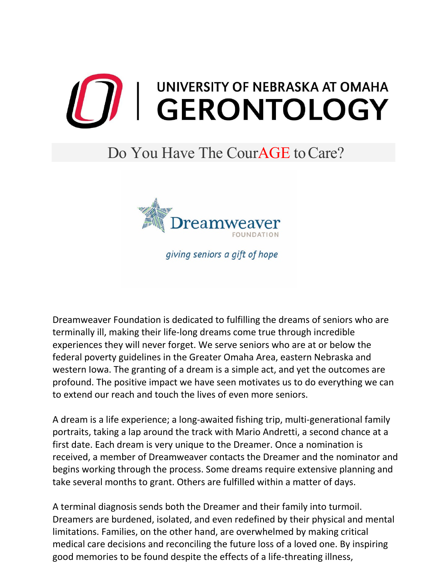

## Do You Have The CourAGE to Care?



giving seniors a gift of hope

Dreamweaver Foundation is dedicated to fulfilling the dreams of seniors who are terminally ill, making their life-long dreams come true through incredible experiences they will never forget. We serve seniors who are at or below the federal poverty guidelines in the Greater Omaha Area, eastern Nebraska and western Iowa. The granting of a dream is a simple act, and yet the outcomes are profound. The positive impact we have seen motivates us to do everything we can to extend our reach and touch the lives of even more seniors.

A dream is a life experience; a long-awaited fishing trip, multi-generational family portraits, taking a lap around the track with Mario Andretti, a second chance at a first date. Each dream is very unique to the Dreamer. Once a nomination is received, a member of Dreamweaver contacts the Dreamer and the nominator and begins working through the process. Some dreams require extensive planning and take several months to grant. Others are fulfilled within a matter of days.

A terminal diagnosis sends both the Dreamer and their family into turmoil. Dreamers are burdened, isolated, and even redefined by their physical and mental limitations. Families, on the other hand, are overwhelmed by making critical medical care decisions and reconciling the future loss of a loved one. By inspiring good memories to be found despite the effects of a life-threating illness,